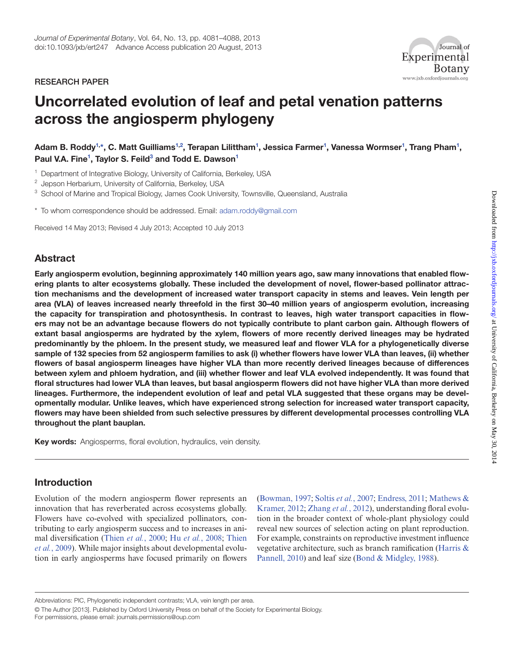#### research paper



# Uncorrelated evolution of leaf and petal venation patterns across the angiosperm phylogeny

Adam B. Roddy<sup>[1](#page-0-0),</sup>[\\*](#page-0-1), C. Matt Guilliams<sup>1,[2](#page-0-2)</sup>, Terapan Lilittham<sup>1</sup>, Jessica Farmer<sup>1</sup>, Vanessa Wormser<sup>1</sup>, Trang Pham<sup>1</sup>, Paul V.A. Fine<sup>[1](#page-0-0)</sup>, Taylor S. Feild<sup>[3](#page-0-3)</sup> and Todd E. Dawson<sup>1</sup>

<span id="page-0-0"></span><sup>1</sup> Department of Integrative Biology, University of California, Berkeley, USA

<span id="page-0-2"></span><sup>2</sup> Jepson Herbarium, University of California, Berkeley, USA

<span id="page-0-3"></span><sup>3</sup> School of Marine and Tropical Biology, James Cook University, Townsville, Queensland, Australia

<span id="page-0-1"></span>\* To whom correspondence should be addressed. Email: [adam.roddy@gmail.com](mailto:adam.roddy@gmail.com)

Received 14 May 2013; Revised 4 July 2013; Accepted 10 July 2013

# Abstract

Early angiosperm evolution, beginning approximately 140 million years ago, saw many innovations that enabled flowering plants to alter ecosystems globally. These included the development of novel, flower-based pollinator attraction mechanisms and the development of increased water transport capacity in stems and leaves. Vein length per area (VLA) of leaves increased nearly threefold in the first 30–40 million years of angiosperm evolution, increasing the capacity for transpiration and photosynthesis. In contrast to leaves, high water transport capacities in flowers may not be an advantage because flowers do not typically contribute to plant carbon gain. Although flowers of extant basal angiosperms are hydrated by the xylem, flowers of more recently derived lineages may be hydrated predominantly by the phloem. In the present study, we measured leaf and flower VLA for a phylogenetically diverse sample of 132 species from 52 angiosperm families to ask (i) whether flowers have lower VLA than leaves, (ii) whether flowers of basal angiosperm lineages have higher VLA than more recently derived lineages because of differences between xylem and phloem hydration, and (iii) whether flower and leaf VLA evolved independently. It was found that floral structures had lower VLA than leaves, but basal angiosperm flowers did not have higher VLA than more derived lineages. Furthermore, the independent evolution of leaf and petal VLA suggested that these organs may be developmentally modular. Unlike leaves, which have experienced strong selection for increased water transport capacity, flowers may have been shielded from such selective pressures by different developmental processes controlling VLA throughout the plant bauplan.

Key words: Angiosperms, floral evolution, hydraulics, vein density.

## Introduction

Evolution of the modern angiosperm flower represents an innovation that has reverberated across ecosystems globally. Flowers have co-evolved with specialized pollinators, contributing to early angiosperm success and to increases in animal diversification ([Thien](#page-7-0) *et al.*, 2000; Hu *et al.*[, 2008;](#page-6-0) [Thien](#page-7-1)  *et al.*[, 2009\)](#page-7-1). While major insights about developmental evolution in early angiosperms have focused primarily on flowers [\(Bowman, 1997;](#page-6-1) [Soltis](#page-7-2) *et al.*, 2007; [Endress, 2011;](#page-6-2) [Mathews &](#page-7-3)  [Kramer, 2012;](#page-7-3) [Zhang](#page-7-4) *et al.*, 2012), understanding floral evolution in the broader context of whole-plant physiology could reveal new sources of selection acting on plant reproduction. For example, constraints on reproductive investment influence vegetative architecture, such as branch ramification ([Harris &](#page-6-3) [Pannell, 2010](#page-6-3)) and leaf size [\(Bond & Midgley, 1988](#page-6-4)).

Abbreviations: PIC, Phylogenetic independent contrasts; VLA, vein length per area.

<sup>©</sup> The Author [2013]. Published by Oxford University Press on behalf of the Society for Experimental Biology. For permissions, please email: journals.permissions@oup.com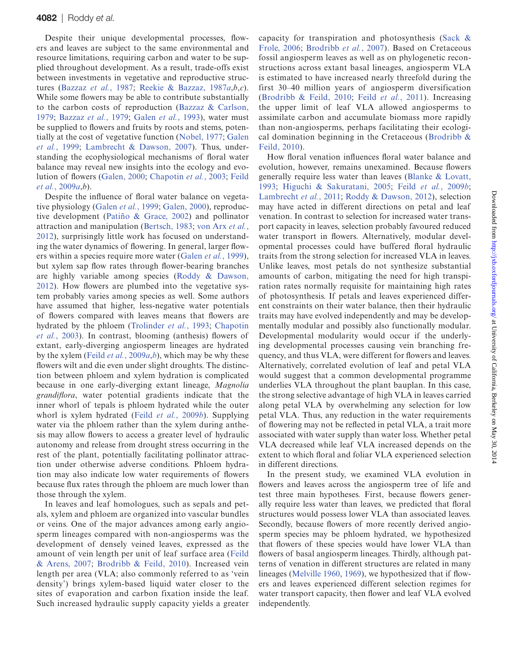Despite their unique developmental processes, flowers and leaves are subject to the same environmental and resource limitations, requiring carbon and water to be supplied throughout development. As a result, trade-offs exist between investments in vegetative and reproductive structures ([Bazzaz](#page-6-5) *et al.*, 1987; [Reekie & Bazzaz, 1987](#page-7-5)*a*,*b*,*c*). While some flowers may be able to contribute substantially to the carbon costs of reproduction ([Bazzaz & Carlson,](#page-6-6) [1979;](#page-6-6) [Bazzaz](#page-5-0) *et al.*, 1979; [Galen](#page-6-7) *et al.*, 1993), water must be supplied to flowers and fruits by roots and stems, potentially at the cost of vegetative function ([Nobel, 1977;](#page-7-6) [Galen](#page-6-8) *et al.*[, 1999;](#page-6-8) [Lambrecht & Dawson, 2007](#page-6-9)). Thus, understanding the ecophysiological mechanisms of floral water balance may reveal new insights into the ecology and evolution of flowers ([Galen, 2000;](#page-6-10) [Chapotin](#page-6-11) *et al.*, 2003; [Feild](#page-6-12) *et al.*[, 2009](#page-6-12)*a*,*b*).

Despite the influence of floral water balance on vegetative physiology ([Galen](#page-6-8) *et al.*, 1999; [Galen, 2000\)](#page-6-10), reproductive development ([Patiño & Grace, 2002\)](#page-7-7) and pollinator attraction and manipulation ([Bertsch, 1983](#page-6-13); [von Arx](#page-7-8) *et al.*, [2012\)](#page-7-8), surprisingly little work has focused on understanding the water dynamics of flowering. In general, larger flowers within a species require more water ([Galen](#page-6-8) *et al.*, 1999), but xylem sap flow rates through flower-bearing branches are highly variable among species ([Roddy & Dawson,](#page-7-9) [2012\)](#page-7-9). How flowers are plumbed into the vegetative system probably varies among species as well. Some authors have assumed that higher, less-negative water potentials of flowers compared with leaves means that flowers are hydrated by the phloem ([Trolinder](#page-7-10) *et al.*, 1993; [Chapotin](#page-6-11) *et al.*[, 2003](#page-6-11)). In contrast, blooming (anthesis) flowers of extant, early-diverging angiosperm lineages are hydrated by the xylem (Feild *et al.*[, 2009](#page-6-12)*a*,*[b](#page-6-14)*), which may be why these flowers wilt and die even under slight droughts. The distinction between phloem and xylem hydration is complicated because in one early-diverging extant lineage, *Magnolia grandiflora*, water potential gradients indicate that the inner whorl of tepals is phloem hydrated while the outer whorl is xylem hydrated (Feild *et al.*[, 2009](#page-6-14)*b*). Supplying water via the phloem rather than the xylem during anthesis may allow flowers to access a greater level of hydraulic autonomy and release from drought stress occurring in the rest of the plant, potentially facilitating pollinator attraction under otherwise adverse conditions. Phloem hydration may also indicate low water requirements of flowers because flux rates through the phloem are much lower than those through the xylem.

In leaves and leaf homologues, such as sepals and petals, xylem and phloem are organized into vascular bundles or veins. One of the major advances among early angiosperm lineages compared with non-angiosperms was the development of densely veined leaves, expressed as the amount of vein length per unit of leaf surface area ([Feild](#page-6-15) [& Arens, 2007](#page-6-15); [Brodribb & Feild, 2010](#page-6-16)). Increased vein length per area (VLA; also commonly referred to as 'vein density') brings xylem-based liquid water closer to the sites of evaporation and carbon fixation inside the leaf. Such increased hydraulic supply capacity yields a greater

capacity for transpiration and photosynthesis ([Sack &](#page-7-11) [Frole, 2006](#page-7-11); [Brodribb](#page-6-17) *et al.*, 2007). Based on Cretaceous fossil angiosperm leaves as well as on phylogenetic reconstructions across extant basal lineages, angiosperm VLA is estimated to have increased nearly threefold during the first 30–40 million years of angiosperm diversification ([Brodribb & Feild, 2010;](#page-6-16) Feild *et al.*[, 2011](#page-6-18)). Increasing the upper limit of leaf VLA allowed angiosperms to assimilate carbon and accumulate biomass more rapidly than non-angiosperms, perhaps facilitating their ecological domination beginning in the Cretaceous ([Brodribb &](#page-6-16) [Feild, 2010\)](#page-6-16).

How floral venation influences floral water balance and evolution, however, remains unexamined. Because flowers generally require less water than leaves [\(Blanke & Lovatt,](#page-6-19) [1993;](#page-6-19) [Higuchi & Sakuratani, 2005](#page-6-20); Feild *et al.*[, 2009](#page-6-14)*b*; [Lambrecht](#page-6-21) *et al.*, 2011; [Roddy & Dawson, 2012](#page-7-9)), selection may have acted in different directions on petal and leaf venation. In contrast to selection for increased water transport capacity in leaves, selection probably favoured reduced water transport in flowers. Alternatively, modular developmental processes could have buffered floral hydraulic traits from the strong selection for increased VLA in leaves. Unlike leaves, most petals do not synthesize substantial amounts of carbon, mitigating the need for high transpiration rates normally requisite for maintaining high rates of photosynthesis. If petals and leaves experienced different constraints on their water balance, then their hydraulic traits may have evolved independently and may be developmentally modular and possibly also functionally modular. Developmental modularity would occur if the underlying developmental processes causing vein branching frequency, and thus VLA, were different for flowers and leaves. Alternatively, correlated evolution of leaf and petal VLA would suggest that a common developmental programme underlies VLA throughout the plant bauplan. In this case, the strong selective advantage of high VLA in leaves carried along petal VLA by overwhelming any selection for low petal VLA. Thus, any reduction in the water requirements of flowering may not be reflected in petal VLA, a trait more associated with water supply than water loss. Whether petal VLA decreased while leaf VLA increased depends on the extent to which floral and foliar VLA experienced selection in different directions.

In the present study, we examined VLA evolution in flowers and leaves across the angiosperm tree of life and test three main hypotheses. First, because flowers generally require less water than leaves, we predicted that floral structures would possess lower VLA than associated leaves. Secondly, because flowers of more recently derived angiosperm species may be phloem hydrated, we hypothesized that flowers of these species would have lower VLA than flowers of basal angiosperm lineages. Thirdly, although patterns of venation in different structures are related in many lineages [\(Melville 1960,](#page-7-12) [1969](#page-7-13)), we hypothesized that if flowers and leaves experienced different selection regimes for water transport capacity, then flower and leaf VLA evolved independently.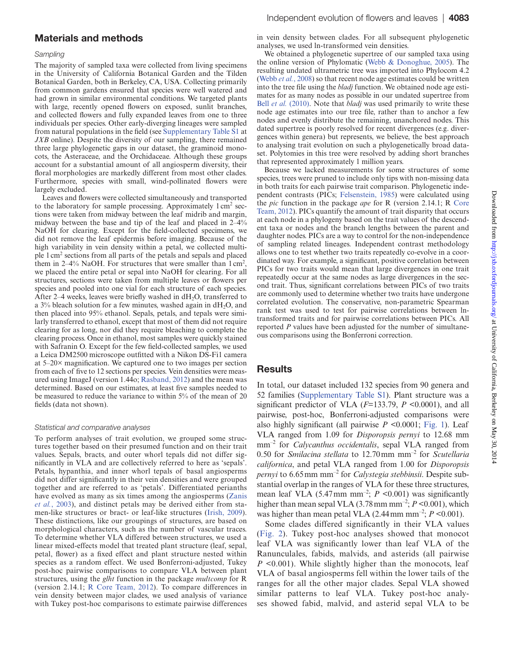#### Materials and methods

#### *Sampling*

The majority of sampled taxa were collected from living specimens in the University of California Botanical Garden and the Tilden Botanical Garden, both in Berkeley, CA, USA. Collecting primarily from common gardens ensured that species were well watered and had grown in similar environmental conditions. We targeted plants with large, recently opened flowers on exposed, sunlit branches, and collected flowers and fully expanded leaves from one to three individuals per species. Other early-diverging lineages were sampled from natural populations in the field (see [Supplementary Table S1](http://jxb.oxfordjournals.org/lookup/suppl/doi:10.1093/jxb/ert247/-/DC1) at *JXB* online). Despite the diversity of our sampling, there remained three large phylogenetic gaps in our dataset, the graminoid monocots, the Asteraceae, and the Orchidaceae. Although these groups account for a substantial amount of all angiosperm diversity, their floral morphologies are markedly different from most other clades. Furthermore, species with small, wind-pollinated flowers were largely excluded.

Leaves and flowers were collected simultaneously and transported to the laboratory for sample processing. Approximately  $1 \text{ cm}^2$  sections were taken from midway between the leaf midrib and margin, midway between the base and tip of the leaf and placed in 2–4% NaOH for clearing. Except for the field-collected specimens, we did not remove the leaf epidermis before imaging. Because of the high variability in vein density within a petal, we collected multiple 1 cm2 sections from all parts of the petals and sepals and placed them in 2–4% NaOH. For structures that were smaller than  $1 \text{ cm}^2$ , we placed the entire petal or sepal into NaOH for clearing. For all structures, sections were taken from multiple leaves or flowers per species and pooled into one vial for each structure of each species. After 2–4 weeks, leaves were briefly washed in  $dH_2O$ , transferred to a  $3\%$  bleach solution for a few minutes, washed again in  $dH_2O$ , and then placed into 95% ethanol. Sepals, petals, and tepals were similarly transferred to ethanol, except that most of them did not require clearing for as long, nor did they require bleaching to complete the clearing process. Once in ethanol, most samples were quickly stained with Safranin O. Except for the few field-collected samples, we used a Leica DM2500 microscope outfitted with a Nikon DS-Fi1 camera at 5–20× magnification. We captured one to two images per section from each of five to 12 sections per species. Vein densities were measured using ImageJ (version 1.44o; [Rasband, 2012\)](#page-7-14) and the mean was determined. Based on our estimates, at least five samples needed to be measured to reduce the variance to within 5% of the mean of 20 fields (data not shown).

#### *Statistical and comparative analyses*

To perform analyses of trait evolution, we grouped some structures together based on their presumed function and on their trait values. Sepals, bracts, and outer whorl tepals did not differ significantly in VLA and are collectively referred to here as 'sepals'. Petals, hypanthia, and inner whorl tepals of basal angiosperms did not differ significantly in their vein densities and were grouped together and are referred to as 'petals'. Differentiated perianths have evolved as many as six times among the angiosperms [\(Zanis](#page-7-15) *et al.*[, 2003\)](#page-7-15), and distinct petals may be derived either from stamen-like structures or bract- or leaf-like structures ([Irish, 2009](#page-6-22)). These distinctions, like our groupings of structures, are based on morphological characters, such as the number of vascular traces. To determine whether VLA differed between structures, we used a linear mixed-effects model that treated plant structure (leaf, sepal, petal, flower) as a fixed effect and plant structure nested within species as a random effect. We used Bonferroni-adjusted, Tukey post-hoc pairwise comparisons to compare VLA between plant structures, using the *glht* function in the package *multcomp* for R (version 2.14.1; [R Core Team, 2012\)](#page-7-16). To compare differences in vein density between major clades, we used analysis of variance with Tukey post-hoc comparisons to estimate pairwise differences in vein density between clades. For all subsequent phylogenetic analyses, we used ln-transformed vein densities.

We obtained a phylogenetic supertree of our sampled taxa using the online version of Phylomatic [\(Webb & Donoghue, 2005](#page-7-17)). The resulting undated ultrametric tree was imported into Phylocom 4.2 ([Webb](#page-7-18) *et al.*, 2008) so that recent node age estimates could be written into the tree file using the *bladj* function. We obtained node age estimates for as many nodes as possible in our undated supertree from Bell *et al.* [\(2010\)](#page-6-23). Note that *bladj* was used primarily to write these node age estimates into our tree file, rather than to anchor a few nodes and evenly distribute the remaining, unanchored nodes. This dated supertree is poorly resolved for recent divergences (e.g. divergences within genera) but represents, we believe, the best approach to analysing trait evolution on such a phylogenetically broad dataset. Polytomies in this tree were resolved by adding short branches that represented approximately 1 million years.

Because we lacked measurements for some structures of some species, trees were pruned to include only tips with non-missing data in both traits for each pairwise trait comparison. Phylogenetic independent contrasts (PICs; [Felsenstein, 1985\)](#page-6-24) were calculated using the *pic* function in the package *ape* for R (version 2.14.1; R [Core](#page-7-16) [Team, 2012](#page-7-16)). PICs quantify the amount of trait disparity that occurs at each node in a phylogeny based on the trait values of the descendent taxa or nodes and the branch lengths between the parent and daughter nodes. PICs are a way to control for the non-independence of sampling related lineages. Independent contrast methodology allows one to test whether two traits repeatedly co-evolve in a coordinated way. For example, a significant, positive correlation between PICs for two traits would mean that large divergences in one trait repeatedly occur at the same nodes as large divergences in the second trait. Thus, significant correlations between PICs of two traits are commonly used to determine whether two traits have undergone correlated evolution. The conservative, non-parametric Spearman rank test was used to test for pairwise correlations between lntransformed traits and for pairwise correlations between PICs. All reported *P* values have been adjusted for the number of simultaneous comparisons using the Bonferroni correction.

#### **Results**

In total, our dataset included 132 species from 90 genera and 52 families ([Supplementary Table S1](http://jxb.oxfordjournals.org/lookup/suppl/doi:10.1093/jxb/ert247/-/DC1)). Plant structure was a significant predictor of VLA (*F*=133.79, *P* <0.0001), and all pairwise, post-hoc, Bonferroni-adjusted comparisons were also highly significant (all pairwise *P <*0.0001; [Fig. 1](#page-3-0)). Leaf VLA ranged from 1.09 for *Disporopsis pernyi* to 12.68 mm mm–2 for *Calycanthus occidentalis*, sepal VLA ranged from 0.50 for *Smilacina stellata* to 12.70mm mm–2 for *Scutellaria californica*, and petal VLA ranged from 1.00 for *Disporopsis pernyi* to 6.65mm mm–2 for *Calystegia stebbinsii*. Despite substantial overlap in the ranges of VLA for these three structures, mean leaf VLA  $(5.47 \text{ mm mm}^{-2})$ ;  $P \le 0.001$ ) was significantly higher than mean sepal VLA  $(3.78 \text{ mm mm}^{-2}; P \le 0.001)$ , which was higher than mean petal VLA  $(2.44 \text{ mm mm}^{-2}; P \le 0.001)$ .

Some clades differed significantly in their VLA values [\(Fig. 2](#page-3-1)). Tukey post-hoc analyses showed that monocot leaf VLA was significantly lower than leaf VLA of the Ranunculales, fabids, malvids, and asterids (all pairwise *P* <0.001). While slightly higher than the monocots, leaf VLA of basal angiosperms fell within the lower tails of the ranges for all the other major clades. Sepal VLA showed similar patterns to leaf VLA. Tukey post-hoc analyses showed fabid, malvid, and asterid sepal VLA to be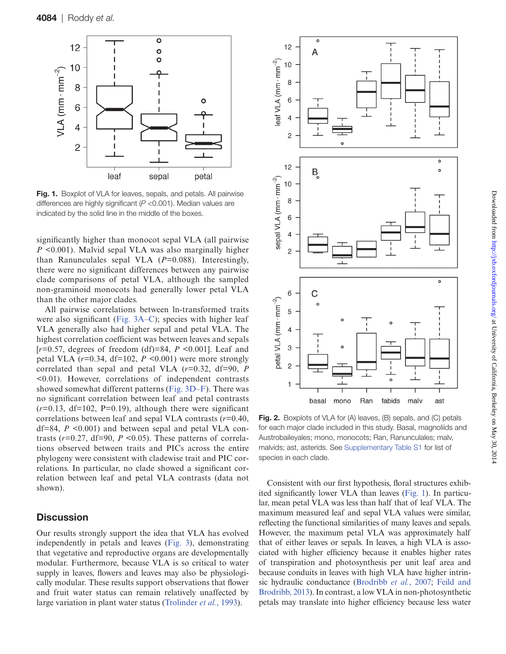

<span id="page-3-0"></span>Fig. 1. Boxplot of VLA for leaves, sepals, and petals. All pairwise differences are highly significant (*P* <0.001). Median values are indicated by the solid line in the middle of the boxes.

significantly higher than monocot sepal VLA (all pairwise *P* <0.001). Malvid sepal VLA was also marginally higher than Ranunculales sepal VLA (*P*=0.088). Interestingly, there were no significant differences between any pairwise clade comparisons of petal VLA, although the sampled non-graminoid monocots had generally lower petal VLA than the other major clades.

All pairwise correlations between ln-transformed traits were also significant ([Fig. 3A–C](#page-4-0)); species with higher leaf VLA generally also had higher sepal and petal VLA. The highest correlation coefficient was between leaves and sepals [*r*=0.57, degrees of freedom (df)=84, *P* <0.001]. Leaf and petal VLA  $(r=0.34, df=102, P \le 0.001)$  were more strongly correlated than sepal and petal VLA (*r*=0.32, df=90, *P* <0.01). However, correlations of independent contrasts showed somewhat different patterns [\(Fig. 3D](#page-4-0)–[F](#page-4-0)). There was no significant correlation between leaf and petal contrasts  $(r=0.13, df=102, P=0.19)$ , although there were significant correlations between leaf and sepal VLA contrasts (*r*=0.40,  $df=84$ ,  $P \leq 0.001$ ) and between sepal and petal VLA contrasts ( $r=0.27$ , df=90,  $P \le 0.05$ ). These patterns of correlations observed between traits and PICs across the entire phylogeny were consistent with cladewise trait and PIC correlations. In particular, no clade showed a significant correlation between leaf and petal VLA contrasts (data not shown).

# **Discussion**

Our results strongly support the idea that VLA has evolved independently in petals and leaves ([Fig. 3](#page-4-0)), demonstrating that vegetative and reproductive organs are developmentally modular. Furthermore, because VLA is so critical to water supply in leaves, flowers and leaves may also be physiologically modular. These results support observations that flower and fruit water status can remain relatively unaffected by large variation in plant water status ([Trolinder](#page-7-10) *et al.*, 1993).



<span id="page-3-1"></span>Fig. 2. Boxplots of VLA for (A) leaves, (B) sepals, and (C) petals for each major clade included in this study. Basal, magnoliids and Austrobaileyales; mono, monocots; Ran, Ranunculales; malv, malvids; ast, asterids. See [Supplementary Table S1](http://jxb.oxfordjournals.org/lookup/suppl/doi:10.1093/jxb/ert247/-/DC1) for list of species in each clade.

Consistent with our first hypothesis, floral structures exhibited significantly lower VLA than leaves [\(Fig. 1](#page-3-0)). In particular, mean petal VLA was less than half that of leaf VLA. The maximum measured leaf and sepal VLA values were similar, reflecting the functional similarities of many leaves and sepals. However, the maximum petal VLA was approximately half that of either leaves or sepals. In leaves, a high VLA is associated with higher efficiency because it enables higher rates of transpiration and photosynthesis per unit leaf area and because conduits in leaves with high VLA have higher intrinsic hydraulic conductance [\(Brodribb](#page-6-17) *et al.*, 2007; [Feild and](#page-6-25) [Brodribb, 2013\)](#page-6-25). In contrast, a low VLA in non-photosynthetic petals may translate into higher efficiency because less water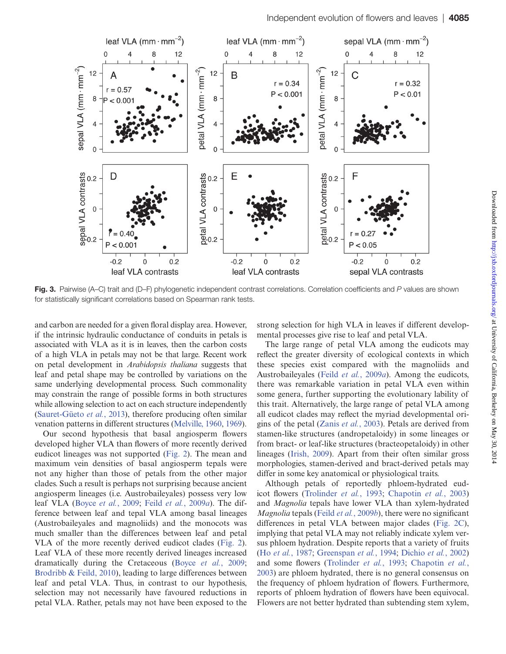

<span id="page-4-0"></span>Fig. 3. Pairwise (A–C) trait and (D–F) phylogenetic independent contrast correlations. Correlation coefficients and *P* values are shown for statistically significant correlations based on Spearman rank tests.

and carbon are needed for a given floral display area. However, if the intrinsic hydraulic conductance of conduits in petals is associated with VLA as it is in leaves, then the carbon costs of a high VLA in petals may not be that large. Recent work on petal development in *Arabidopsis thaliana* suggests that leaf and petal shape may be controlled by variations on the same underlying developmental process. Such commonality may constrain the range of possible forms in both structures while allowing selection to act on each structure independently [\(Sauret-Güeto](#page-7-19) *et al.*, 2013), therefore producing often similar venation patterns in different structures [\(Melville, 1960](#page-7-12), [1969\)](#page-7-13).

Our second hypothesis that basal angiosperm flowers developed higher VLA than flowers of more recently derived eudicot lineages was not supported ([Fig. 2\)](#page-3-1). The mean and maximum vein densities of basal angiosperm tepals were not any higher than those of petals from the other major clades. Such a result is perhaps not surprising because ancient angiosperm lineages (i.e. Austrobaileyales) possess very low leaf VLA ([Boyce](#page-6-26) *et al.*, 2009; Feild *et al.*[, 2009](#page-6-12)*a*). The difference between leaf and tepal VLA among basal lineages (Austrobaileyales and magnoliids) and the monocots was much smaller than the differences between leaf and petal VLA of the more recently derived eudicot clades ([Fig. 2\)](#page-3-1). Leaf VLA of these more recently derived lineages increased dramatically during the Cretaceous (Boyce *et al.*[, 2009](#page-6-26); [Brodribb & Feild, 2010](#page-6-16)), leading to large differences between leaf and petal VLA. Thus, in contrast to our hypothesis, selection may not necessarily have favoured reductions in petal VLA. Rather, petals may not have been exposed to the strong selection for high VLA in leaves if different developmental processes give rise to leaf and petal VLA.

The large range of petal VLA among the eudicots may reflect the greater diversity of ecological contexts in which these species exist compared with the magnoliids and Austrobaileyales (Feild *et al.*[, 2009](#page-6-12)*a*). Among the eudicots, there was remarkable variation in petal VLA even within some genera, further supporting the evolutionary lability of this trait. Alternatively, the large range of petal VLA among all eudicot clades may reflect the myriad developmental origins of the petal [\(Zanis](#page-7-15) *et al.*, 2003). Petals are derived from stamen-like structures (andropetaloidy) in some lineages or from bract- or leaf-like structures (bracteopetaloidy) in other lineages ([Irish, 2009](#page-6-22)). Apart from their often similar gross morphologies, stamen-derived and bract-derived petals may differ in some key anatomical or physiological traits.

Although petals of reportedly phloem-hydrated eudicot flowers ([Trolinder](#page-7-10) *et al.*, 1993; [Chapotin](#page-6-11) *et al.*, 2003) and *Magnolia* tepals have lower VLA than xylem-hydrated *Magnolia* tepals (Feild *et al.*[, 2009](#page-6-14)*b*), there were no significant differences in petal VLA between major clades [\(Fig. 2C\)](#page-3-1), implying that petal VLA may not reliably indicate xylem versus phloem hydration. Despite reports that a variety of fruits (Ho *et al.*[, 1987](#page-6-27); [Greenspan](#page-6-28) *et al.*, 1994; [Dichio](#page-6-29) *et al.*, 2002) and some flowers ([Trolinder](#page-7-10) *et al.*, 1993; [Chapotin](#page-6-11) *et al.*, [2003\)](#page-6-11) are phloem hydrated, there is no general consensus on the frequency of phloem hydration of flowers. Furthermore, reports of phloem hydration of flowers have been equivocal. Flowers are not better hydrated than subtending stem xylem,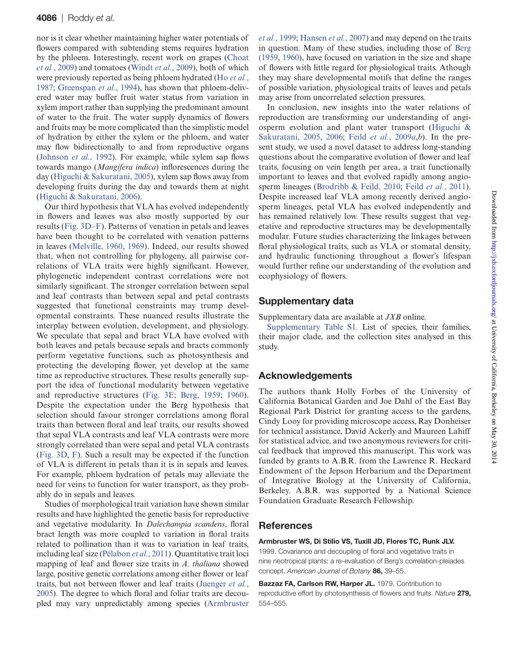nor is it clear whether maintaining higher water potentials of flowers compared with subtending stems requires hydration by the phloem. Interestingly, recent work on grapes [\(Choat](#page-6-30) *et al.*[, 2009\)](#page-6-30) and tomatoes ([Windt](#page-7-20) *et al.*, 2009), both of which were previously reported as being phloem hydrated (Ho *[et al.](#page-6-27)*, [1987](#page-6-27); [Greenspan](#page-6-28) *et al.*, 1994), has shown that phloem-delivered water may buffer fruit water status from variation in xylem import rather than supplying the predominant amount of water to the fruit. The water supply dynamics of flowers and fruits may be more complicated than the simplistic model of hydration by either the xylem or the phloem, and water may flow bidirectionally to and from reproductive organs ([Johnson](#page-6-31) *et al.*, 1992). For example, while xylem sap flows towards mango (*Mangifera indica*) inflorescences during the day ([Higuchi & Sakuratani, 2005](#page-6-20)), xylem sap flows away from developing fruits during the day and towards them at night ([Higuchi & Sakuratani, 2006](#page-6-32)).

Our third hypothesis that VLA has evolved independently in flowers and leaves was also mostly supported by our results ([Fig. 3D–F\)](#page-4-0). Patterns of venation in petals and leaves have been thought to be correlated with venation patterns in leaves [\(Melville, 1960](#page-7-12), [1969\)](#page-7-13). Indeed, our results showed that, when not controlling for phylogeny, all pairwise correlations of VLA traits were highly significant. However, phylogenetic independent contrast correlations were not similarly significant. The stronger correlation between sepal and leaf contrasts than between sepal and petal contrasts suggested that functional constraints may trump developmental constraints. These nuanced results illustrate the interplay between evolution, development, and physiology. We speculate that sepal and bract VLA have evolved with both leaves and petals because sepals and bracts commonly perform vegetative functions, such as photosynthesis and protecting the developing flower, yet develop at the same time as reproductive structures. These results generally support the idea of functional modularity between vegetative and reproductive structures [\(Fig. 3E;](#page-4-0) [Berg, 1959;](#page-6-33) [1960](#page-6-34)). Despite the expectation under the Berg hypothesis that selection should favour stronger correlations among floral traits than between floral and leaf traits, our results showed that sepal VLA contrasts and leaf VLA contrasts were more strongly correlated than were sepal and petal VLA contrasts ([Fig. 3D](#page-4-0), [F\)](#page-4-0). Such a result may be expected if the function of VLA is different in petals than it is in sepals and leaves. For example, phloem hydration of petals may alleviate the need for veins to function for water transport, as they probably do in sepals and leaves.

Studies of morphological trait variation have shown similar results and have highlighted the genetic basis for reproductive and vegetative modularity. In *Dalechampia scandens*, floral bract length was more coupled to variation in floral traits related to pollination than it was to variation in leaf traits, including leaf size ([Pélabon](#page-7-21) *et al.*, 2011). Quantitative trait loci mapping of leaf and flower size traits in *A. thaliana* showed large, positive genetic correlations among either flower or leaf traits, but not between flower and leaf traits [\(Juenger](#page-6-35) *et al.*, [2005](#page-6-35)). The degree to which floral and foliar traits are decoupled may vary unpredictably among species ([Armbruster](#page-5-1) *et al.*[, 1999](#page-5-1); [Hansen](#page-6-36) *et al.*, 2007) and may depend on the traits in question. Many of these studies, including those of [Berg](#page-6-33) [\(1959,](#page-6-33) [1960](#page-6-34)), have focused on variation in the size and shape of flowers with little regard for physiological traits. Athough they may share developmental motifs that define the ranges of possible variation, physiological traits of leaves and petals may arise from uncorrelated selection pressures.

In conclusion, new insights into the water relations of reproduction are transforming our understanding of angiosperm evolution and plant water transport ([Higuchi &](#page-6-20) [Sakuratani, 2005,](#page-6-20) [2006;](#page-6-32) Feild *et al.*[, 2009](#page-6-12)*a*,*b*). In the present study, we used a novel dataset to address long-standing questions about the comparative evolution of flower and leaf traits, focusing on vein length per area, a trait functionally important to leaves and that evolved rapidly among angiosperm lineages [\(Brodribb & Feild, 2010;](#page-6-16) Feild *et al.*[, 2011](#page-6-18)). Despite increased leaf VLA among recently derived angiosperm lineages, petal VLA has evolved independently and has remained relatively low. These results suggest that vegetative and reproductive structures may be developmentally modular. Future studies characterizing the linkages between floral physiological traits, such as VLA or stomatal density, and hydraulic functioning throughout a flower's lifespan would further refine our understanding of the evolution and ecophysiology of flowers.

### Supplementary data

Supplementary data are available at *JXB* online.

[Supplementary Table S1.](http://jxb.oxfordjournals.org/lookup/suppl/doi:10.1093/jxb/ert247/-/DC1) List of species, their families, their major clade, and the collection sites analysed in this study.

### Acknowledgements

The authors thank Holly Forbes of the University of California Botanical Garden and Joe Dahl of the East Bay Regional Park District for granting access to the gardens, Cindy Looy for providing microscope access, Ray Donheiser for technical assistance, David Ackerly and Maureen Lahiff for statistical advice, and two anonymous reviewers for critical feedback that improved this manuscript. This work was funded by grants to A.B.R. from the Lawrence R. Heckard Endowment of the Jepson Herbarium and the Department of Integrative Biology at the University of California, Berkeley. A.B.R. was supported by a National Science Foundation Graduate Research Fellowship.

### References

#### <span id="page-5-1"></span>Armbruster WS, Di Stilio VS, Tuxill JD, Flores TC, Runk JLV.

1999. Covariance and decoupling of floral and vegetative traits in nine neotropical plants: a re-evaluation of Berg's correlation-pleiades concept. *American Journal of Botany* 86, 39–55.

<span id="page-5-0"></span>Bazzaz FA, Carlson RW, Harper JL. 1979. Contribution to reproductive effort by photosynthesis of flowers and fruits. *Nature* 279, 554–555.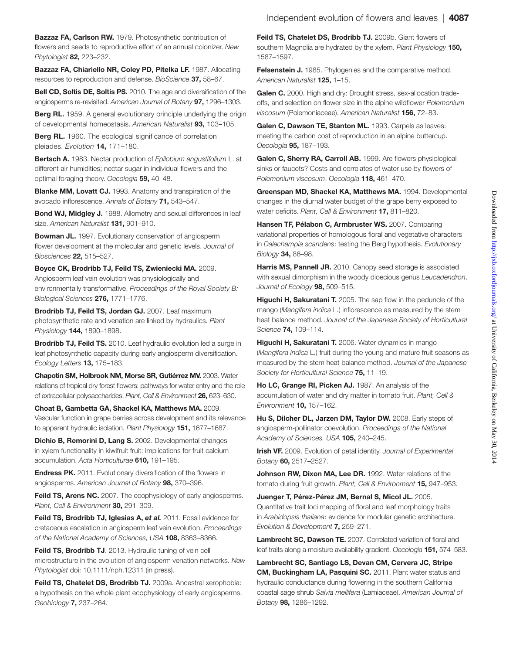<span id="page-6-6"></span>Bazzaz FA, Carlson RW. 1979. Photosynthetic contribution of flowers and seeds to reproductive effort of an annual colonizer. *New Phytologist* 82, 223–232.

<span id="page-6-5"></span>Bazzaz FA, Chiariello NR, Coley PD, Pitelka LF. 1987. Allocating resources to reproduction and defense. *BioScience* 37, 58–67.

<span id="page-6-23"></span>Bell CD, Soltis DE, Soltis PS. 2010. The age and diversification of the angiosperms re-revisited. *American Journal of Botany* 97, 1296–1303.

<span id="page-6-33"></span>**Berg RL.** 1959. A general evolutionary principle underlying the origin of developmental homeostasis. *American Naturalist* 93, 103–105.

<span id="page-6-34"></span>**Berg RL.** 1960. The ecological significance of correlation pleiades. *Evolution* 14, 171–180.

<span id="page-6-13"></span>Bertsch A. 1983. Nectar production of *Epilobium angustifolium* L. at different air humidities; nectar sugar in individual flowers and the optimal foraging theory. *Oecologia* 59, 40–48.

<span id="page-6-19"></span>Blanke MM, Lovatt CJ. 1993. Anatomy and transpiration of the avocado inflorescence. *Annals of Botany* 71, 543–547.

<span id="page-6-4"></span>Bond WJ, Midgley J. 1988. Allometry and sexual differences in leaf size. *American Naturalist* 131, 901–910.

<span id="page-6-1"></span>**Bowman JL.** 1997. Evolutionary conservation of angiosperm flower development at the molecular and genetic levels. *Journal of Biosciences* 22, 515–527.

<span id="page-6-26"></span>Boyce CK, Brodribb TJ, Feild TS, Zwieniecki MA. 2009. Angiosperm leaf vein evolution was physiologically and environmentally transformative. *Proceedings of the Royal Society B: Biological Sciences* 276, 1771–1776.

<span id="page-6-17"></span>Brodribb TJ, Feild TS, Jordan GJ. 2007. Leaf maximum photosynthetic rate and venation are linked by hydraulics. *Plant Physiology* 144, 1890–1898.

<span id="page-6-16"></span>Brodribb TJ, Feild TS. 2010. Leaf hydraulic evolution led a surge in leaf photosynthetic capacity during early angiosperm diversification. *Ecology Letters* 13, 175–183.

<span id="page-6-11"></span>Chapotin SM, Holbrook NM, Morse SR, Gutiérrez MV. 2003. Water relations of tropical dry forest flowers: pathways for water entry and the role of extracellular polysaccharides. *Plant, Cell & Environment* 26, 623–630.

<span id="page-6-30"></span>Choat B, Gambetta GA, Shackel KA, Matthews MA. 2009. Vascular function in grape berries across development and its relevance to apparent hydraulic isolation. *Plant Physiology* 151, 1677–1687.

<span id="page-6-29"></span>Dichio B, Remorini D, Lang S. 2002. Developmental changes in xylem functionality in kiwifruit fruit: implications for fruit calcium accumulation. *Acta Horticulturae* 610, 191–195.

<span id="page-6-2"></span>**Endress PK.** 2011. Evolutionary diversification of the flowers in angiosperms. *American Journal of Botany* 98, 370–396.

<span id="page-6-15"></span>Feild TS, Arens NC. 2007. The ecophysiology of early angiosperms. *Plant, Cell & Environment* 30, 291–309.

<span id="page-6-18"></span>Feild TS, Brodribb TJ, Iglesias A, et al. 2011. Fossil evidence for cretaceous escalation in angiosperm leaf vein evolution. *Proceedings of the National Academy of Sciences, USA* 108, 8363–8366.

<span id="page-6-25"></span>Feild TS, Brodribb TJ. 2013. Hydraulic tuning of vein cell microstructure in the evolution of angiosperm venation networks. *New Phytologist* doi: 10.1111/nph.12311 (in press).

<span id="page-6-12"></span>Feild TS, Chatelet DS, Brodribb TJ. 2009a. Ancestral xerophobia: a hypothesis on the whole plant ecophysiology of early angiosperms. *Geobiology* 7, 237–264.

<span id="page-6-14"></span>Feild TS, Chatelet DS, Brodribb TJ. 2009b. Giant flowers of southern Magnolia are hydrated by the xylem. *Plant Physiology* 150, 1587–1597.

<span id="page-6-24"></span>Felsenstein J. 1985. Phylogenies and the comparative method. *American Naturalist* 125, 1–15.

<span id="page-6-10"></span>Galen C. 2000. High and dry: Drought stress, sex-allocation tradeoffs, and selection on flower size in the alpine wildflower *Polemonium viscosum* (Polemoniaceae). *American Naturalist* 156, 72–83.

<span id="page-6-7"></span>Galen C, Dawson TE, Stanton ML. 1993. Carpels as leaves: meeting the carbon cost of reproduction in an alpine buttercup. *Oecologia* 95, 187–193.

<span id="page-6-8"></span>Galen C, Sherry RA, Carroll AB. 1999. Are flowers physiological sinks or faucets? Costs and correlates of water use by flowers of *Polemonium viscosum*. *Oecologia* 118, 461–470.

<span id="page-6-28"></span>Greenspan MD, Shackel KA, Matthews MA. 1994. Developmental changes in the diurnal water budget of the grape berry exposed to water deficits. *Plant, Cell & Environment* 17, 811–820.

<span id="page-6-36"></span>Hansen TF, Pélabon C, Armbruster WS. 2007. Comparing variational properties of homologous floral and vegetative characters in *Dalechampia scandens*: testing the Berg hypothesis. *Evolutionary Biology* 34, 86–98.

<span id="page-6-3"></span>Harris MS, Pannell JR. 2010. Canopy seed storage is associated with sexual dimorphism in the woody dioecious genus *Leucadendron*. *Journal of Ecology* 98, 509–515.

<span id="page-6-20"></span>Higuchi H, Sakuratani T. 2005. The sap flow in the peduncle of the mango (*Mangifera indica* L.) inflorescence as measured by the stem heat balance method. *Journal of the Japanese Society of Horticultural Science* 74, 109–114.

<span id="page-6-32"></span>Higuchi H, Sakuratani T. 2006. Water dynamics in mango (*Mangifera indica* L.) fruit during the young and mature fruit seasons as measured by the stem heat balance method. *Journal of the Japanese Society for Horticultural Science* 75, 11–19.

<span id="page-6-27"></span>Ho LC, Grange RI, Picken AJ. 1987. An analysis of the accumulation of water and dry matter in tomato fruit. *Plant, Cell & Environment* 10, 157–162.

<span id="page-6-0"></span>Hu S, Dilcher DL, Jarzen DM, Taylor DW. 2008. Early steps of angiosperm-pollinator coevolution. *Proceedings of the National Academy of Sciences, USA* 105, 240–245.

<span id="page-6-22"></span>Irish VF. 2009. Evolution of petal identity. *Journal of Experimental Botany* 60, 2517–2527.

<span id="page-6-31"></span>Johnson RW, Dixon MA, Lee DR. 1992. Water relations of the tomato during fruit growth. *Plant, Cell & Environment* 15, 947–953.

<span id="page-6-35"></span>Juenger T, Pérez-Pérez JM, Bernal S, Micol JL. 2005. Quantitative trait loci mapping of floral and leaf morphology traits in *Arabidopsis thaliana*: evidence for modular genetic architecture. *Evolution & Development* 7, 259–271.

<span id="page-6-9"></span>Lambrecht SC, Dawson TE. 2007. Correlated variation of floral and leaf traits along a moisture availability gradient. *Oecologia* 151, 574–583.

<span id="page-6-21"></span>Lambrecht SC, Santiago LS, Devan CM, Cervera JC, Stripe CM, Buckingham LA, Pasquini SC. 2011. Plant water status and hydraulic conductance during flowering in the southern California coastal sage shrub *Salvia mellifera* (Lamiaceae). *American Journal of Botany* 98, 1286–1292.